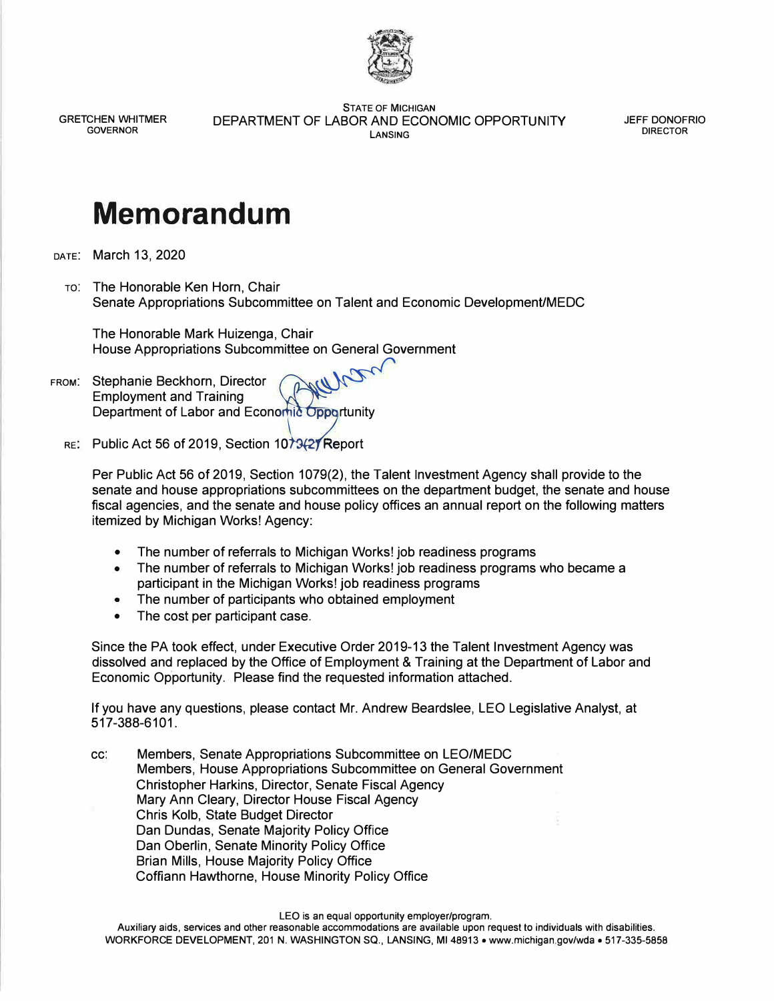

GRETCHEN WHITMER GOVERNOR

STATE OF MICHIGAN DEPARTMENT OF LABOR AND ECONOMIC OPPORTUNITY LANSING

JEFF DONOFRIO DIRECTOR

## **Memorandum**

DATE: March 13, 2020

TO: The Honorable Ken Horn, Chair Senate Appropriations Subcommittee on Talent and Economic Development/MEDC

The Honorable Mark Huizenga, Chair House Appropriations Subcommittee on General Government

FROM: Stephanie Beckhorn, Director Stephanie Beckhorn, Director<br>Employment and Training<br>Department of Labor and Economic Opportunity  $\mathcal{W}$ Employment and Training

RE: Public Act 56 of 2019, Section  $10<sup>1</sup>$  Report

Per Public Act 56 of 2019, Section 1079(2), the Talent Investment Agency shall provide to the senate and house appropriations subcommittees on the department budget, the senate and house fiscal agencies, and the senate and house policy offices an annual report on the following matters itemized by Michigan Works! Agency:

- The number of referrals to Michigan Works! job readiness programs
- The number of referrals to Michigan Works! job readiness programs who became a participant in the Michigan Works! job readiness programs
- The number of participants who obtained employment
- The cost per participant case.

Since the PA took effect, under Executive Order 2019-13 the Talent Investment Agency was dissolved and replaced by the Office of Employment & Training at the Department of Labor and Economic Opportunity. Please find the requested information attached.

If you have any questions, please contact Mr. Andrew Beardslee, LEO Legislative Analyst, at 517-388-6101.

cc: Members, Senate Appropriations Subcommittee on LEO/MEDC Members, House Appropriations Subcommittee on General Government Christopher Harkins, Director, Senate Fiscal Agency Mary Ann Cleary, Director House Fiscal Agency Chris Kolb, State Budget Director Dan Dundas, Senate Majority Policy Office Dan Oberlin, Senate Minority Policy Office Brian Mills, House Majority Policy Office Coffiann Hawthorne, House Minority Policy Office

LEO is an equal opportunity employer/program.